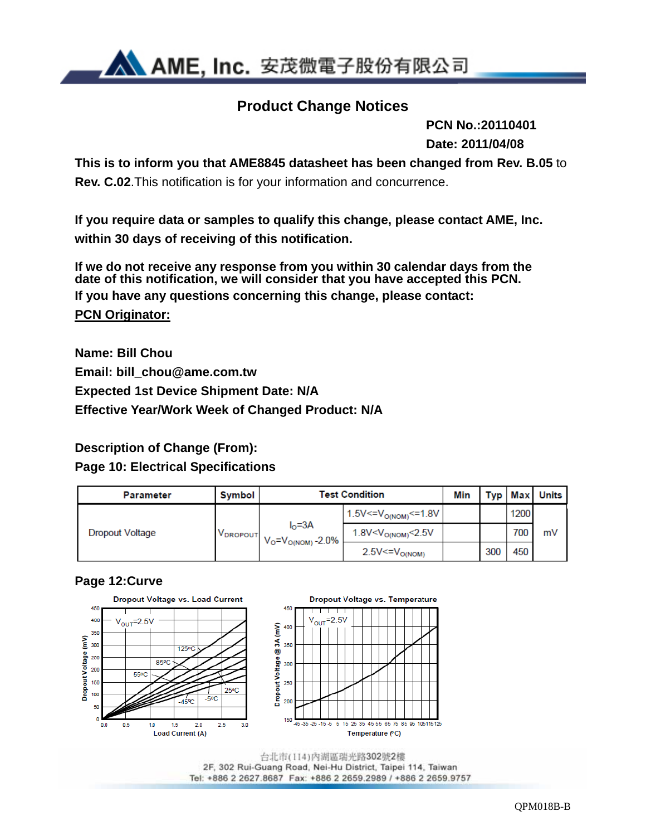

## **Product Change Notices**

 **PCN No.:20110401 Date: 2011/04/08**

**This is to inform you that AME8845 datasheet has been changed from Rev. B.05** to **Rev. C.02**.This notification is for your information and concurrence.

**If you require data or samples to qualify this change, please contact AME, Inc. within 30 days of receiving of this notification.** 

**If we do not receive any response from you within 30 calendar days from the date of this notification, we will consider that you have accepted this PCN. If you have any questions concerning this change, please contact: PCN Originator:** 

**Name: Bill Chou Email: bill\_chou@ame.com.tw Expected 1st Device Shipment Date: N/A Effective Year/Work Week of Changed Product: N/A** 

## **Description of Change (From):**

### **Page 10: Electrical Specifications**

| <b>Parameter</b> | Symbol               | <b>Test Condition</b>                           |                                       |  |     |      | <b>Typ Max Units</b> |
|------------------|----------------------|-------------------------------------------------|---------------------------------------|--|-----|------|----------------------|
|                  |                      |                                                 | $1.5V < V_{O(NOM)} < 1.8V$            |  |     | 1200 |                      |
| Dropout Voltage  | V <sub>DROPOUT</sub> | $I0=3A$<br>$V_{\rm O} = V_{\rm O(NOM)} - 2.0\%$ | $1.8$ V <v<sub>O(NOM)&lt;2.5V</v<sub> |  |     | 700. | mV                   |
|                  |                      |                                                 | $2.5V < = V_{O(NOM)}$                 |  | 300 | 450  |                      |

### **Page 12:Curve**



2F, 302 Rui-Guang Road, Nei-Hu District, Taipei 114, Taiwan Tel: +886 2 2627.8687 Fax: +886 2 2659.2989 / +886 2 2659.9757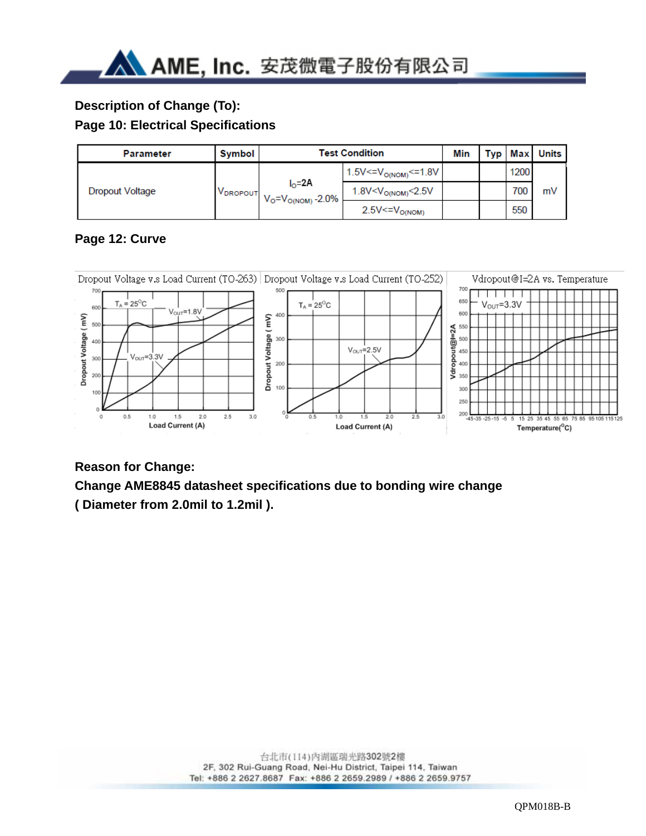## **Description of Change (To):**

### **Page 10: Electrical Specifications**

| <b>Parameter</b>       | <b>Symbol</b>        | Test Condition                        |                                    |  |      | Typ Max Units |
|------------------------|----------------------|---------------------------------------|------------------------------------|--|------|---------------|
| <b>Dropout Voltage</b> |                      |                                       | $1.5V < = VO(NOM) < = 1.8V$        |  | 1200 |               |
|                        | V <sub>DROPOUT</sub> | $IO=2A$<br>$V_0 = V_{O(NOM)} - 2.0\%$ | 1.8V <v<sub>O(NOM)&lt;2.5V</v<sub> |  | 700  | mV            |
|                        |                      |                                       | $2.5V < = VO(NOM)$                 |  | 550  |               |

## **Page 12: Curve**



### **Reason for Change:**

# **Change AME8845 datasheet specifications due to bonding wire change**

**( Diameter from 2.0mil to 1.2mil ).**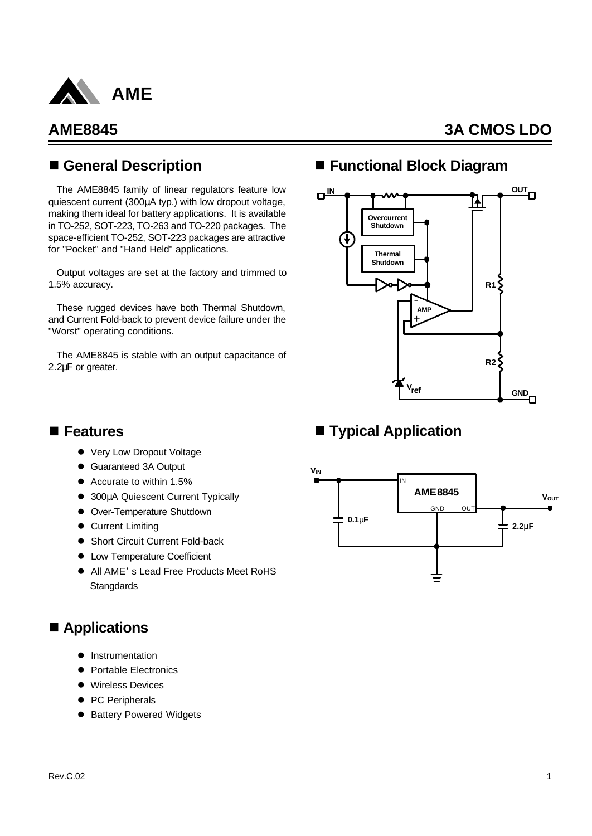

## n **General Description**

The AME8845 family of linear regulators feature low quiescent current (300μA typ.) with low dropout voltage, making them ideal for battery applications. It is available in TO-252, SOT-223, TO-263 and TO-220 packages. The space-efficient TO-252, SOT-223 packages are attractive for "Pocket" and "Hand Held" applications.

Output voltages are set at the factory and trimmed to 1.5% accuracy.

These rugged devices have both Thermal Shutdown, and Current Fold-back to prevent device failure under the "Worst" operating conditions.

The AME8845 is stable with an output capacitance of 2.2μF or greater.

## ■ Functional Block Diagram



## ■ **Typical Application**

## n **Features**

- Very Low Dropout Voltage
- Guaranteed 3A Output
- $\bullet$  Accurate to within 1.5%
- **.** 300μA Quiescent Current Typically
- **•** Over-Temperature Shutdown
- **Current Limiting**
- Short Circuit Current Fold-back
- Low Temperature Coefficient
- All AME's Lead Free Products Meet RoHS **Stangdards**

## ■ Applications

- **Instrumentation**
- **Portable Electronics**
- **•** Wireless Devices
- PC Peripherals
- **Battery Powered Widgets**

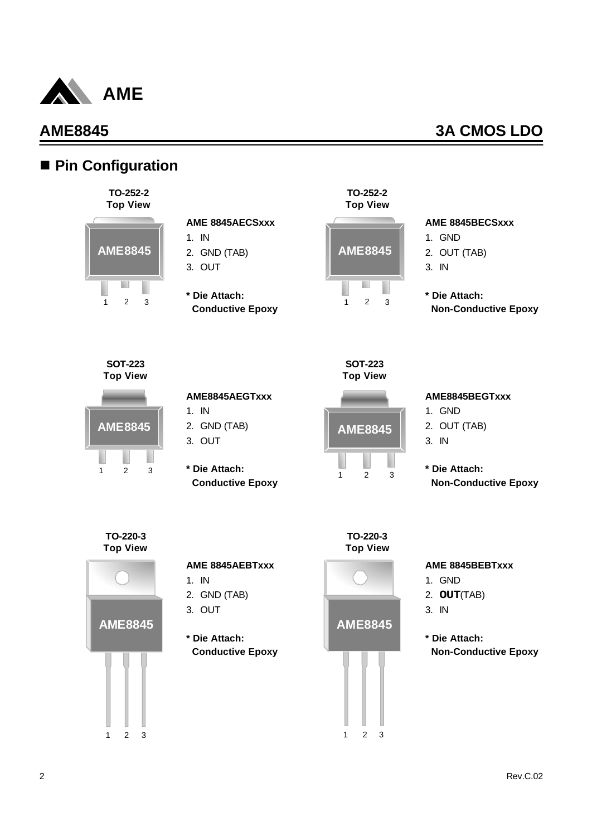

## ■ Pin Configuration



### **AME 8845AECSxxx**

- 1. IN
- 2. GND (TAB)
- 3. OUT
- **\* Die Attach: Conductive Epoxy**



### **AME 8845BECSxxx**

- 1. GND
- 2. OUT (TAB)
- 3. IN
- **\* Die Attach: Non-Conductive Epoxy**

**SOT-223 Top View**



### **AME8845AEGTxxx**

- 1. IN
- 2. GND (TAB)
- 3. OUT
- **\* Die Attach: Conductive Epoxy**



**SOT-223**

### **AME8845BEGTxxx**

- 1. GND
- 2. OUT (TAB)
- 3. IN
- **\* Die Attach: Non-Conductive Epoxy**



### **AME 8845AEBTxxx**

- 1. IN
- 2. GND (TAB)
- 3. OUT
- **\* Die Attach: Conductive Epoxy**





### **AME 8845BEBTxxx**

- 1. GND
- 2. **OUT**(TAB)
- 3. IN
- **\* Die Attach: Non-Conductive Epoxy**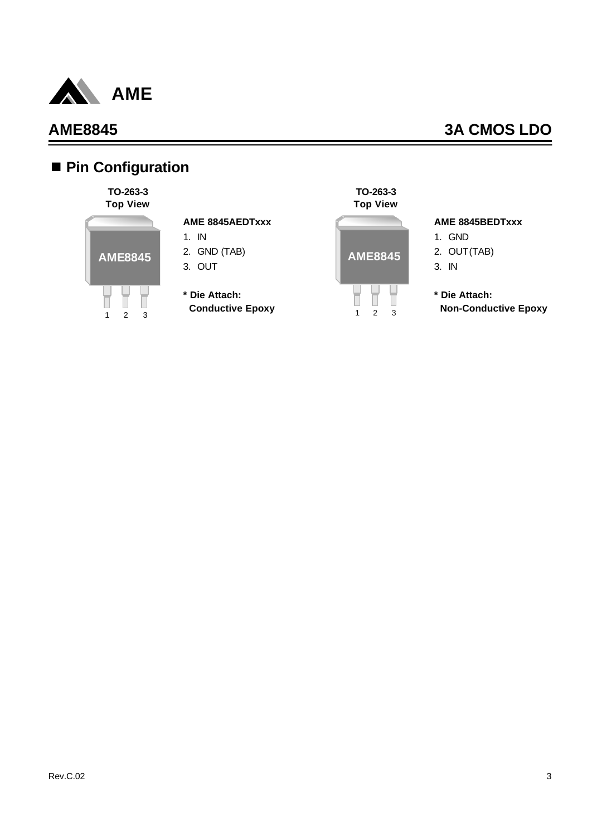

# n **Pin Configuration**

### **TO-263-3 Top View**



### **AME 8845AEDTxxx**

- 1. IN
- 2. GND (TAB)
- 3. OUT
- **\* Die Attach: Conductive Epoxy**



### **AME 8845BEDTxxx**

- 1. GND 2. OUT(TAB) 3. IN
- **\* Die Attach: Non-Conductive Epoxy**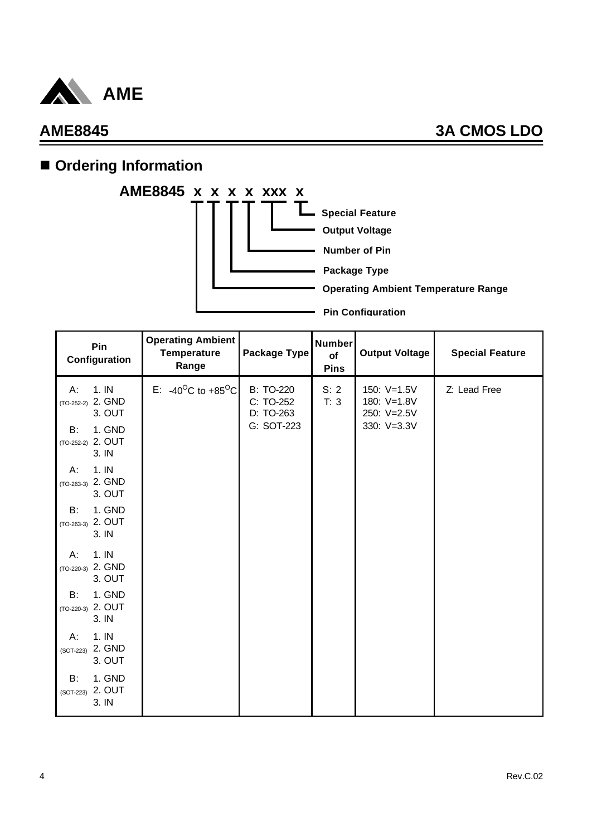

# **n** Ordering Information



| Pin<br>Configuration                                | <b>Operating Ambient</b><br><b>Temperature</b><br>Range | Package Type                               | <b>Number</b><br>of<br><b>Pins</b> | <b>Output Voltage</b>                     | <b>Special Feature</b> |
|-----------------------------------------------------|---------------------------------------------------------|--------------------------------------------|------------------------------------|-------------------------------------------|------------------------|
| 1.1N<br>A:<br>$(TO-252-2)$ 2. GND<br>3. OUT         | E: -40 <sup>o</sup> C to +85 <sup>o</sup> C             | <b>B: TO-220</b><br>C: TO-252<br>D: TO-263 | S: 2<br>T: 3                       | 150: V=1.5V<br>180: V=1.8V<br>250: V=2.5V | Z: Lead Free           |
| 1. GND<br>B:<br>2. OUT<br>$(TO-252-2)$<br>3. IN     |                                                         | G: SOT-223                                 |                                    | 330: V=3.3V                               |                        |
| 1.1N<br>A:<br>2. GND<br>$(TO-263-3)$<br>3. OUT      |                                                         |                                            |                                    |                                           |                        |
| 1. GND<br>B:<br>2. OUT<br>$(TO-263-3)$<br>3. IN     |                                                         |                                            |                                    |                                           |                        |
| 1.1N<br>Α.<br>(TO-220-3) 2. GND<br>3. OUT           |                                                         |                                            |                                    |                                           |                        |
| 1. GND<br><b>B:</b><br>$(TO-220-3)$ 2. OUT<br>3. IN |                                                         |                                            |                                    |                                           |                        |
| 1.1N<br>А:<br>2. GND<br>$(SOT-223)$<br>3. OUT       |                                                         |                                            |                                    |                                           |                        |
| 1. GND<br>B:<br>2. OUT<br>(SOT-223)<br>3. IN        |                                                         |                                            |                                    |                                           |                        |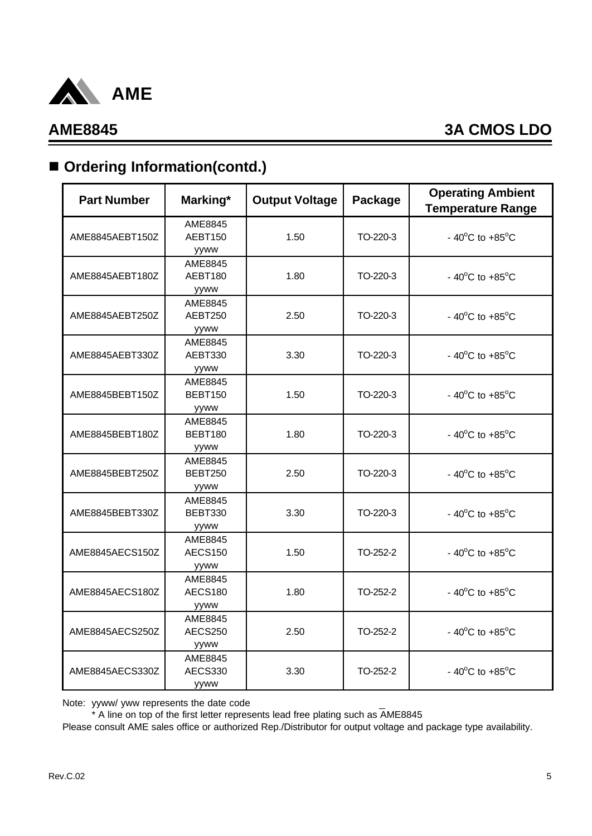

# ■ Ordering Information(contd.)

| <b>Part Number</b> | Marking*                          | <b>Output Voltage</b> | Package  | <b>Operating Ambient</b><br><b>Temperature Range</b> |
|--------------------|-----------------------------------|-----------------------|----------|------------------------------------------------------|
| AME8845AEBT150Z    | AME8845<br>AEBT150<br>yyww        | 1.50                  | TO-220-3 | - $40^{\circ}$ C to $+85^{\circ}$ C                  |
| AME8845AEBT180Z    | AME8845<br>AEBT180<br>yyww        | 1.80                  | TO-220-3 | - 40 $^{\circ}$ C to +85 $^{\circ}$ C                |
| AME8845AEBT250Z    | AME8845<br>AEBT250<br>yyww        | 2.50                  | TO-220-3 | - 40 $^{\circ}$ C to +85 $^{\circ}$ C                |
| AME8845AEBT330Z    | AME8845<br>AEBT330<br>yyww        | 3.30                  | TO-220-3 | - 40 $^{\circ}$ C to +85 $^{\circ}$ C                |
| AME8845BEBT150Z    | AME8845<br><b>BEBT150</b><br>yyww | 1.50                  | TO-220-3 | - 40 $^{\circ}$ C to +85 $^{\circ}$ C                |
| AME8845BEBT180Z    | AME8845<br>BEBT180<br>yyww        | 1.80                  | TO-220-3 | $-40^{\circ}$ C to $+85^{\circ}$ C                   |
| AME8845BEBT250Z    | AME8845<br><b>BEBT250</b><br>yyww | 2.50                  | TO-220-3 | - 40 $^{\circ}$ C to +85 $^{\circ}$ C                |
| AME8845BEBT330Z    | AME8845<br>BEBT330<br>yyww        | 3.30                  | TO-220-3 | - 40 $^{\circ}$ C to +85 $^{\circ}$ C                |
| AME8845AECS150Z    | AME8845<br><b>AECS150</b><br>yyww | 1.50                  | TO-252-2 | - $40^{\circ}$ C to $+85^{\circ}$ C                  |
| AME8845AECS180Z    | AME8845<br><b>AECS180</b><br>yyww | 1.80                  | TO-252-2 | - 40 $^{\circ}$ C to +85 $^{\circ}$ C                |
| AME8845AECS250Z    | AME8845<br>AECS250<br>yyww        | 2.50                  | TO-252-2 | - 40 $^{\circ}$ C to +85 $^{\circ}$ C                |
| AME8845AECS330Z    | AME8845<br><b>AECS330</b><br>yyww | 3.30                  | TO-252-2 | - 40 $^{\circ}$ C to +85 $^{\circ}$ C                |

Note: yyww/ yww represents the date code

\* A line on top of the first letter represents lead free plating such as AME8845

Please consult AME sales office or authorized Rep./Distributor for output voltage and package type availability.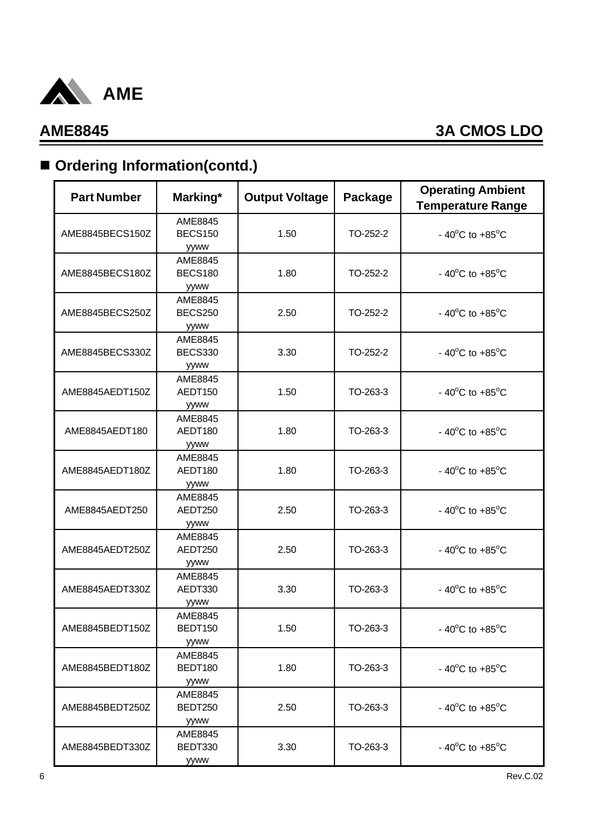

# ■ Ordering Information(contd.)

| <b>Part Number</b> | Marking*                                 | <b>Output Voltage</b> | Package  | <b>Operating Ambient</b><br><b>Temperature Range</b> |
|--------------------|------------------------------------------|-----------------------|----------|------------------------------------------------------|
| AME8845BECS150Z    | AME8845<br><b>BECS150</b><br><b>yyww</b> | 1.50                  | TO-252-2 | - 40 $^{\circ}$ C to +85 $^{\circ}$ C                |
| AME8845BECS180Z    | AME8845<br><b>BECS180</b><br><b>yyww</b> | 1.80                  | TO-252-2 | - 40 $^{\circ}$ C to +85 $^{\circ}$ C                |
| AME8845BECS250Z    | AME8845<br><b>BECS250</b><br>yyww        | 2.50                  | TO-252-2 | - 40 $^{\circ}$ C to +85 $^{\circ}$ C                |
| AME8845BECS330Z    | AME8845<br><b>BECS330</b><br>yyww        | 3.30                  | TO-252-2 | - 40 $^{\circ}$ C to +85 $^{\circ}$ C                |
| AME8845AEDT150Z    | AME8845<br>AEDT150<br>yyww               | 1.50                  | TO-263-3 | - 40 $^{\circ}$ C to +85 $^{\circ}$ C                |
| AME8845AEDT180     | AME8845<br>AEDT180<br><b>yyww</b>        | 1.80                  | TO-263-3 | - 40 $^{\circ}$ C to +85 $^{\circ}$ C                |
| AME8845AEDT180Z    | AME8845<br>AEDT180<br>yyww               | 1.80                  | TO-263-3 | - 40 $^{\circ}$ C to +85 $^{\circ}$ C                |
| AME8845AEDT250     | AME8845<br>AEDT250<br>yyww               | 2.50                  | TO-263-3 | - 40 $^{\circ}$ C to +85 $^{\circ}$ C                |
| AME8845AEDT250Z    | AME8845<br>AEDT250<br>yyww               | 2.50                  | TO-263-3 | - 40 $^{\circ}$ C to +85 $^{\circ}$ C                |
| AME8845AEDT330Z    | AME8845<br>AEDT330<br>yyww               | 3.30                  | TO-263-3 | - 40 $^{\circ}$ C to +85 $^{\circ}$ C                |
| AME8845BEDT150Z    | AME8845<br>BEDT150<br><b>yyww</b>        | 1.50                  | TO-263-3 | - $40^{\circ}$ C to $+85^{\circ}$ C                  |
| AME8845BEDT180Z    | AME8845<br>BEDT180<br>yyww               | 1.80                  | TO-263-3 | - 40 $^{\circ}$ C to +85 $^{\circ}$ C                |
| AME8845BEDT250Z    | AME8845<br>BEDT250<br>yyww               | 2.50                  | TO-263-3 | - 40 $^{\circ}$ C to +85 $^{\circ}$ C                |
| AME8845BEDT330Z    | AME8845<br>BEDT330<br>yyww               | 3.30                  | TO-263-3 | - 40 $^{\circ}$ C to +85 $^{\circ}$ C                |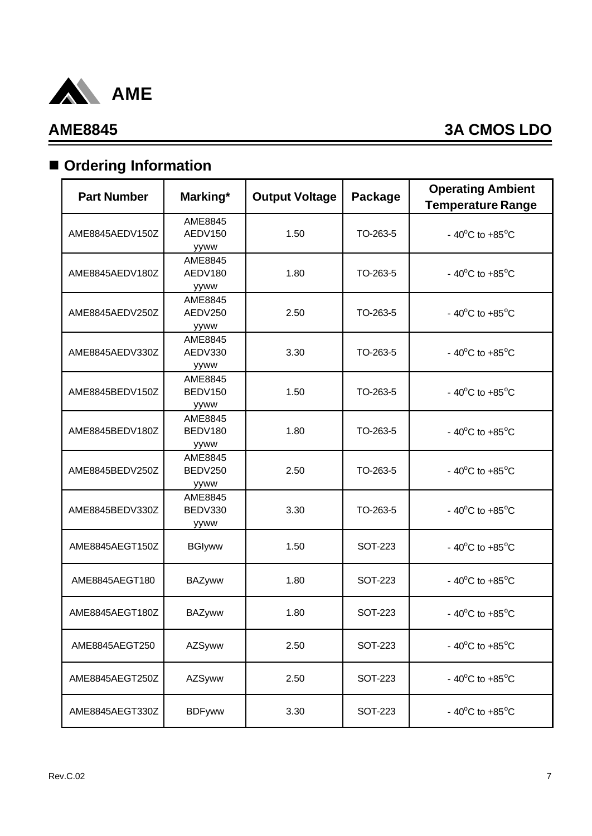

# $\blacksquare$  Ordering Information

| <b>Part Number</b> | Marking*                          | <b>Output Voltage</b> | Package        | <b>Operating Ambient</b><br><b>Temperature Range</b> |
|--------------------|-----------------------------------|-----------------------|----------------|------------------------------------------------------|
| AME8845AEDV150Z    | AME8845<br>AEDV150<br>yyww        | 1.50                  | TO-263-5       | - 40 $^{\circ}$ C to +85 $^{\circ}$ C                |
| AME8845AEDV180Z    | AME8845<br>AEDV180<br>yyww        | 1.80                  | TO-263-5       | - 40 $^{\circ}$ C to +85 $^{\circ}$ C                |
| AME8845AEDV250Z    | AME8845<br>AEDV250<br>yyww        | 2.50                  | TO-263-5       | - 40 $^{\circ}$ C to +85 $^{\circ}$ C                |
| AME8845AEDV330Z    | AME8845<br>AEDV330<br>yyww        | 3.30                  | TO-263-5       | - 40 $^{\circ}$ C to +85 $^{\circ}$ C                |
| AME8845BEDV150Z    | AME8845<br>BEDV150<br>yyww        | 1.50                  | TO-263-5       | - 40 $^{\circ}$ C to +85 $^{\circ}$ C                |
| AME8845BEDV180Z    | AME8845<br>BEDV180<br>yyww        | 1.80                  | TO-263-5       | - 40 $^{\circ}$ C to +85 $^{\circ}$ C                |
| AME8845BEDV250Z    | AME8845<br><b>BEDV250</b><br>yyww | 2.50                  | TO-263-5       | - 40 $^{\circ}$ C to +85 $^{\circ}$ C                |
| AME8845BEDV330Z    | AME8845<br>BEDV330<br>yyww        | 3.30                  | TO-263-5       | - 40 $^{\circ}$ C to +85 $^{\circ}$ C                |
| AME8845AEGT150Z    | <b>BGIyww</b>                     | 1.50                  | <b>SOT-223</b> | - 40 $^{\circ}$ C to +85 $^{\circ}$ C                |
| AME8845AEGT180     | <b>BAZyww</b>                     | 1.80                  | SOT-223        | - 40 $^{\circ}$ C to +85 $^{\circ}$ C                |
| AME8845AEGT180Z    | <b>BAZyww</b>                     | 1.80                  | SOT-223        | - 40 $^{\circ}$ C to +85 $^{\circ}$ C                |
| AME8845AEGT250     | AZSyww                            | 2.50                  | <b>SOT-223</b> | - 40 $^{\circ}$ C to +85 $^{\circ}$ C                |
| AME8845AEGT250Z    | AZSyww                            | 2.50                  | <b>SOT-223</b> | - 40 $^{\circ}$ C to +85 $^{\circ}$ C                |
| AME8845AEGT330Z    | <b>BDFyww</b>                     | 3.30                  | <b>SOT-223</b> | - 40 $^{\circ}$ C to +85 $^{\circ}$ C                |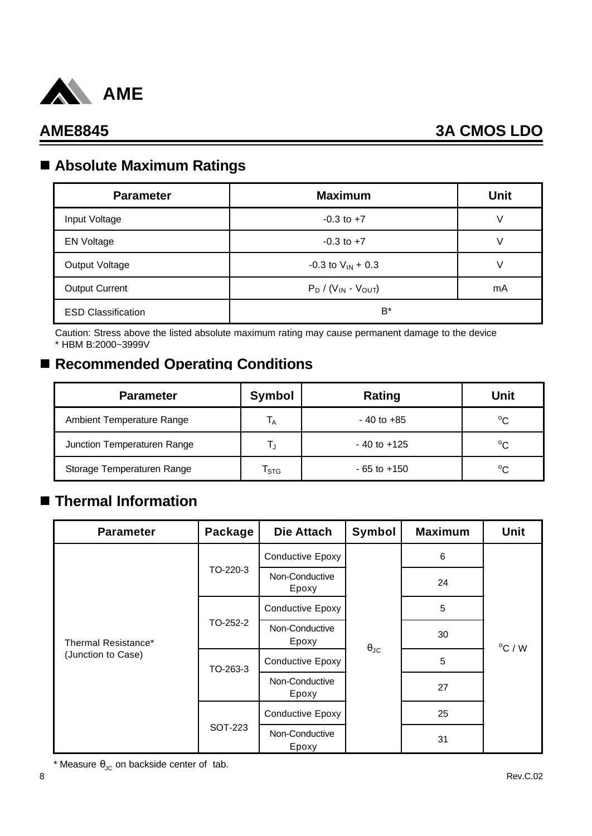

## n **Absolute Maximum Ratings**

| <b>Parameter</b>          | <b>Maximum</b>             | <b>Unit</b> |
|---------------------------|----------------------------|-------------|
| Input Voltage             | $-0.3$ to $+7$             | V           |
| <b>EN Voltage</b>         | $-0.3$ to $+7$             |             |
| Output Voltage            | $-0.3$ to $V_{IN}$ + 0.3   |             |
| <b>Output Current</b>     | $P_D / (V_{IN} - V_{OUT})$ | mA          |
| <b>ESD Classification</b> | $B^*$                      |             |

Caution: Stress above the listed absolute maximum rating may cause permanent damage to the device \* HBM B:2000~3999V

## ■ Recommended Operating Conditions

| <b>Parameter</b>            | Symbol                    | Rating          | Unit         |
|-----------------------------|---------------------------|-----------------|--------------|
| Ambient Temperature Range   | $\mathsf{I}_{\mathsf{A}}$ | $-40$ to $+85$  | $^{\circ}C$  |
| Junction Temperaturen Range |                           | $-40$ to $+125$ | $^{\circ}$ C |
| Storage Temperaturen Range  | $\mathsf{T}_{\text{STG}}$ | $-65$ to $+150$ | $^{\circ}C$  |

## n **Thermal Information**

| <b>Parameter</b>                          | Package  | <b>Die Attach</b>       | Symbol               | <b>Maximum</b> | <b>Unit</b>      |
|-------------------------------------------|----------|-------------------------|----------------------|----------------|------------------|
| Thermal Resistance*<br>(Junction to Case) |          | <b>Conductive Epoxy</b> |                      | 6              |                  |
|                                           | TO-220-3 | Non-Conductive<br>Epoxy |                      | 24             |                  |
|                                           |          | <b>Conductive Epoxy</b> |                      | 5              |                  |
|                                           | TO-252-2 | Non-Conductive<br>Epoxy | $\theta_{\text{JC}}$ | 30             | $^{\circ}$ C / W |
|                                           | TO-263-3 | <b>Conductive Epoxy</b> |                      | 5              |                  |
|                                           |          | Non-Conductive<br>Epoxy |                      | 27             |                  |
|                                           |          | <b>Conductive Epoxy</b> |                      | 25             |                  |
|                                           | SOT-223  | Non-Conductive<br>Epoxy |                      | 31             |                  |

\* Measure  $\theta_{JC}$  on backside center of tab.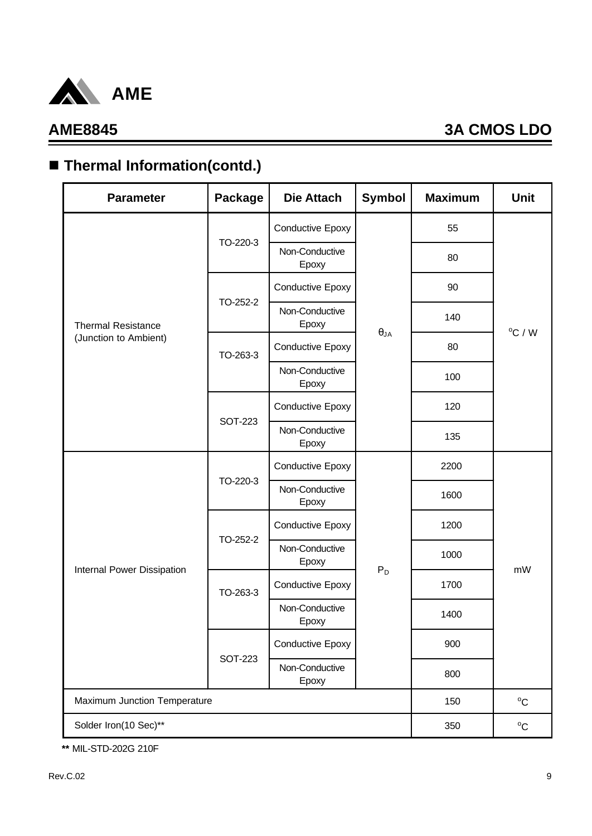

# ■ Thermal Information(contd.)

| <b>Parameter</b>             | <b>Package</b> | <b>Die Attach</b>       | Symbol        | <b>Maximum</b> | <b>Unit</b>      |  |
|------------------------------|----------------|-------------------------|---------------|----------------|------------------|--|
|                              |                | Conductive Epoxy        |               | 55             |                  |  |
|                              | TO-220-3       | Non-Conductive<br>Epoxy |               | 80             |                  |  |
|                              |                | <b>Conductive Epoxy</b> |               | 90             |                  |  |
| <b>Thermal Resistance</b>    | TO-252-2       | Non-Conductive<br>Epoxy |               | 140            | $^{\circ}$ C / W |  |
| (Junction to Ambient)        | TO-263-3       | Conductive Epoxy        | $\theta_{JA}$ | 80             |                  |  |
|                              |                | Non-Conductive<br>Epoxy |               | 100            |                  |  |
|                              |                | Conductive Epoxy        |               | 120            |                  |  |
|                              | <b>SOT-223</b> | Non-Conductive<br>Epoxy |               | 135            |                  |  |
|                              |                | Conductive Epoxy        |               | 2200           |                  |  |
|                              | TO-220-3       | Non-Conductive<br>Epoxy |               | 1600           |                  |  |
|                              |                | Conductive Epoxy        |               | 1200           |                  |  |
| Internal Power Dissipation   | TO-252-2       | Non-Conductive<br>Epoxy | $P_D$         | 1000           | mW               |  |
|                              | TO-263-3       | Conductive Epoxy        |               | 1700           |                  |  |
|                              |                | Non-Conductive<br>Epoxy |               | 1400           |                  |  |
|                              |                | Conductive Epoxy        |               | 900            |                  |  |
|                              | <b>SOT-223</b> | Non-Conductive<br>Epoxy |               | 800            |                  |  |
| Maximum Junction Temperature | 150            | $^{\circ}C$             |               |                |                  |  |
| Solder Iron(10 Sec)**        |                |                         |               |                |                  |  |

**\*\*** MIL-STD-202G 210F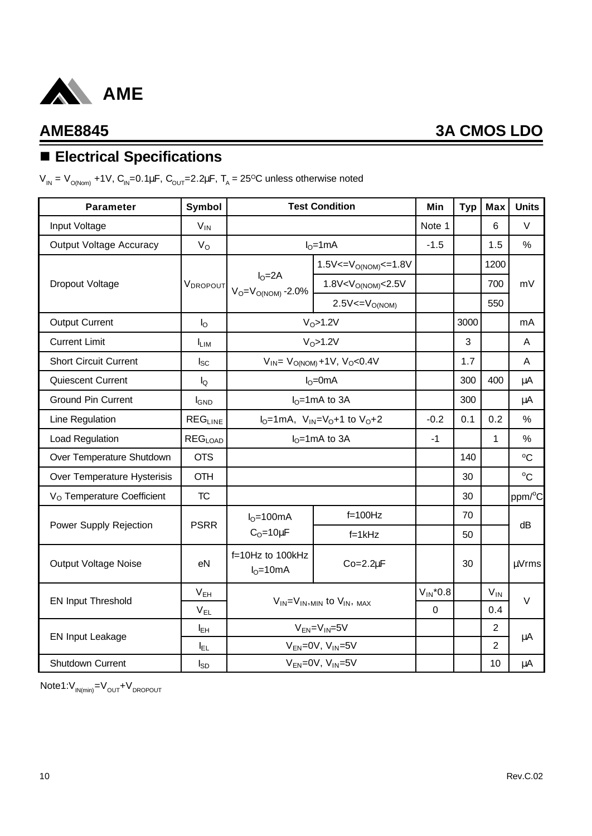

# n **Electrical Specifications**

V<sub>IN</sub> = V<sub>O(Nom)</sub> +1V, C<sub>IN</sub>=0.1μF, C<sub>OUT</sub>=2.2μF, T<sub>A</sub> = 25<sup>o</sup>C unless otherwise noted

| <b>Parameter</b>                       | <b>Symbol</b>    |                                               | <b>Test Condition</b>                              | Min           | <b>Typ</b> | <b>Max</b>     | <b>Units</b>        |
|----------------------------------------|------------------|-----------------------------------------------|----------------------------------------------------|---------------|------------|----------------|---------------------|
| Input Voltage                          | $V_{IN}$         |                                               |                                                    | Note 1        |            | 6              | $\vee$              |
| <b>Output Voltage Accuracy</b>         | $V_{\rm O}$      |                                               | $IO=1mA$                                           | $-1.5$        |            | 1.5            | $\%$                |
|                                        |                  |                                               | $1.5V < = V_{O(NOM)} < = 1.8V$                     |               |            | 1200           |                     |
| Dropout Voltage                        | <b>VDROPOUT</b>  | $IO=2A$<br>$V_O = V_{O(NOM)} - 2.0\%$         | 1.8V < V <sub>O(NOM)</sub> < 2.5V                  |               |            | 700            | mV                  |
|                                        |                  |                                               | $2.5V = VO(NOM)$                                   |               |            | 550            |                     |
| <b>Output Current</b>                  | $I_{\rm O}$      |                                               | $VO$ >1.2V                                         |               | 3000       |                | mA                  |
| <b>Current Limit</b>                   | <b>LIM</b>       |                                               | $VO$ >1.2V                                         |               | 3          |                | A                   |
| <b>Short Circuit Current</b>           | $I_{SC}$         |                                               | $V_{IN} = V_{O(NOM)} + 1V$ , $V_{O} < 0.4V$        |               | 1.7        |                | A                   |
| <b>Quiescent Current</b>               | $I_{\mathsf{Q}}$ |                                               | $IO=0mA$                                           |               | 300        | 400            | μA                  |
| <b>Ground Pin Current</b>              | <b>I</b> GND     |                                               | $IO=1mA$ to 3A                                     |               | 300        |                | μA                  |
| Line Regulation                        | <b>REGLINE</b>   | $I_0 = 1$ mA, $V_{1N} = V_0 + 1$ to $V_0 + 2$ |                                                    | $-0.2$        | 0.1        | 0.2            | $\%$                |
| Load Regulation                        | <b>REGLOAD</b>   |                                               | $IO=1mA$ to 3A                                     | $-1$          |            | $\mathbf{1}$   | $\frac{0}{0}$       |
| Over Temperature Shutdown              | <b>OTS</b>       |                                               |                                                    |               | 140        |                | °C                  |
| Over Temperature Hysterisis            | <b>OTH</b>       |                                               |                                                    |               | 30         |                | $^{\circ}C$         |
| V <sub>O</sub> Temperature Coefficient | TC               |                                               |                                                    |               | 30         |                | ppm/ <sup>o</sup> C |
|                                        |                  | $IO=100mA$                                    | $f=100Hz$                                          |               | 70         |                |                     |
| Power Supply Rejection                 | <b>PSRR</b>      | $C_0 = 10 \mu F$                              | $f=1kHz$                                           |               | 50         |                | dB                  |
| <b>Output Voltage Noise</b>            | eN               | f=10Hz to 100kHz<br>$IO=10mA$                 | $Co=2.2\mu F$                                      |               | 30         |                | µVrms               |
|                                        | V <sub>EH</sub>  |                                               |                                                    | $V_{IN}$ *0.8 |            | $V_{IN}$       | $\vee$              |
| <b>EN Input Threshold</b>              | $V_{EL}$         |                                               | $V_{IN} = V_{IN},$ <sub>MIN</sub> to $V_{IN},$ MAX | $\mathbf 0$   |            | 0.4            |                     |
| <b>EN Input Leakage</b>                | I <sub>EH</sub>  |                                               | $V_{EN} = V_{IN} = 5V$                             |               |            | 2              | μA                  |
|                                        | ΙEΓ              |                                               | $V_{EN} = 0V$ , $V_{IN} = 5V$                      |               |            | $\overline{2}$ |                     |
| Shutdown Current                       | Isp              |                                               | $V_{EN} = 0V$ , $V_{IN} = 5V$                      |               |            | 10             | μA                  |

 $Note1:V_{IN(min)}=V_{OUT}+V_{DROPOUT}$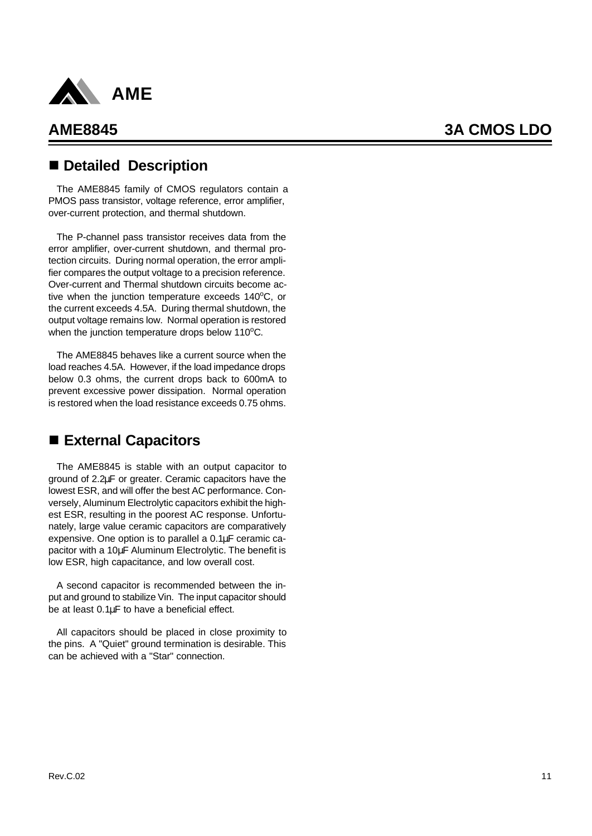

## n **Detailed Description**

The AME8845 family of CMOS regulators contain a PMOS pass transistor, voltage reference, error amplifier, over-current protection, and thermal shutdown.

The P-channel pass transistor receives data from the error amplifier, over-current shutdown, and thermal protection circuits. During normal operation, the error amplifier compares the output voltage to a precision reference. Over-current and Thermal shutdown circuits become active when the junction temperature exceeds  $140^{\circ}$ C, or the current exceeds 4.5A. During thermal shutdown, the output voltage remains low. Normal operation is restored when the junction temperature drops below  $110^{\circ}$ C.

The AME8845 behaves like a current source when the load reaches 4.5A. However, if the load impedance drops below 0.3 ohms, the current drops back to 600mA to prevent excessive power dissipation. Normal operation is restored when the load resistance exceeds 0.75 ohms.

## ■ External Capacitors

The AME8845 is stable with an output capacitor to ground of 2.2μF or greater. Ceramic capacitors have the lowest ESR, and will offer the best AC performance. Conversely, Aluminum Electrolytic capacitors exhibit the highest ESR, resulting in the poorest AC response. Unfortunately, large value ceramic capacitors are comparatively expensive. One option is to parallel a 0.1μF ceramic capacitor with a 10μF Aluminum Electrolytic. The benefit is low ESR, high capacitance, and low overall cost.

A second capacitor is recommended between the input and ground to stabilize Vin. The input capacitor should be at least 0.1μF to have a beneficial effect.

All capacitors should be placed in close proximity to the pins. A "Quiet" ground termination is desirable. This can be achieved with a "Star" connection.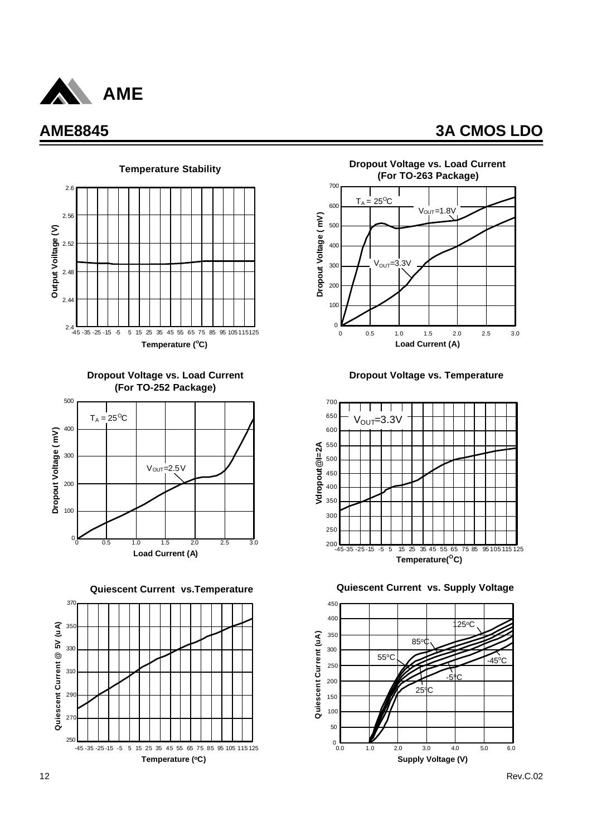







**Quiescent Current vs.Temperature**





**Dropout Voltage vs. Temperature**



**Quiescent Current vs. Supply Voltage**

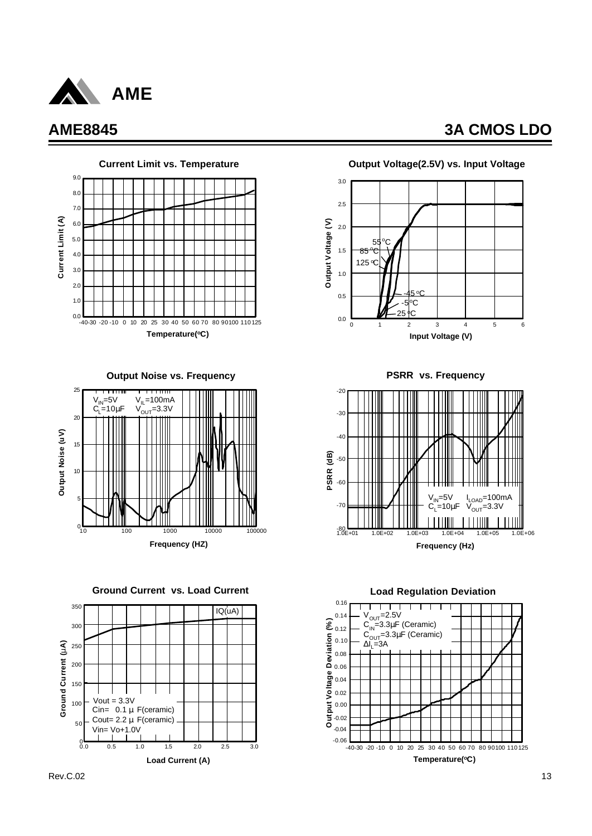



**Output Noise vs. Frequency**



**Ground Current vs. Load Current**





**PSRR vs. Frequency**



**Load Regulation Deviation**

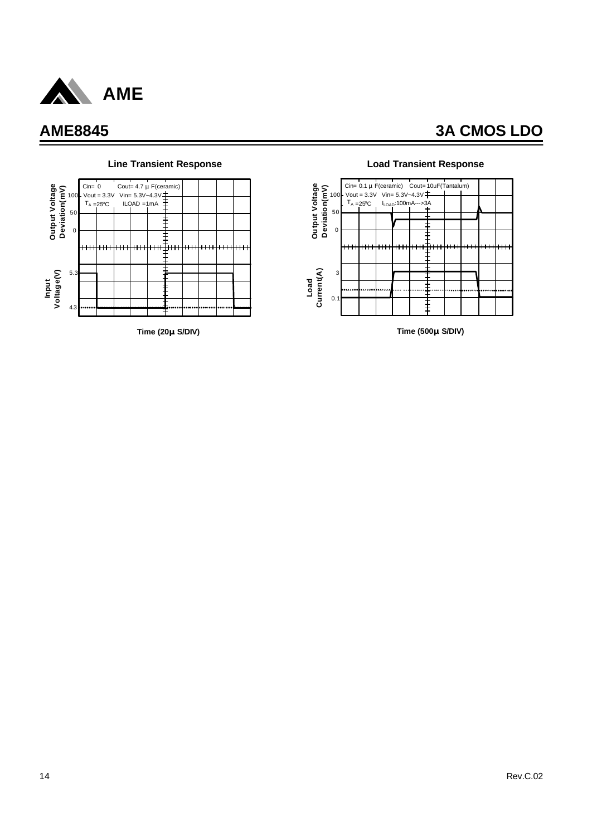



### **Line Transient Response Load Transient Response**



**Time (500**μ**S/DIV)**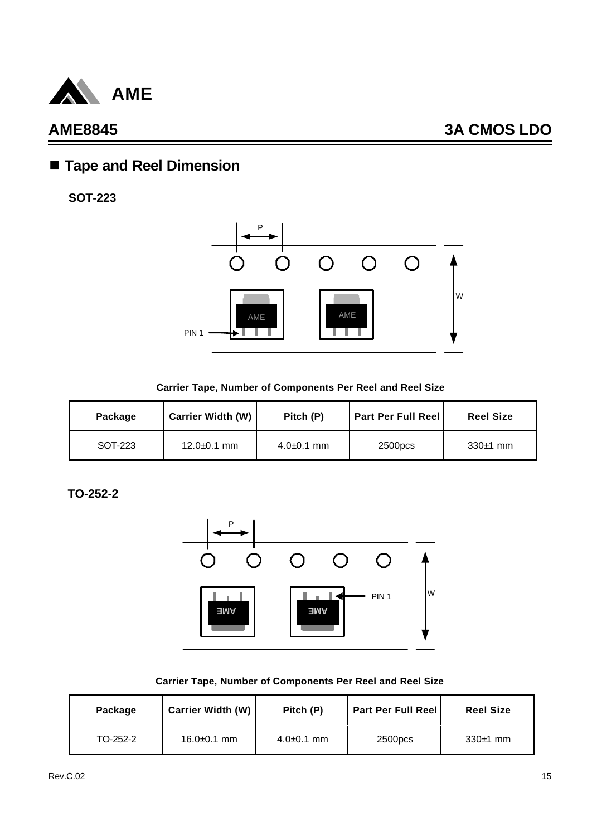

## n **Tape and Reel Dimension**

**SOT-223**



**Carrier Tape, Number of Components Per Reel and Reel Size**

| Package | <b>Carrier Width (W)</b> | Pitch (P)      | <b>Part Per Full Reell</b> | <b>Reel Size</b> |
|---------|--------------------------|----------------|----------------------------|------------------|
| SOT-223 | $12.0 \pm 0.1$ mm        | $4.0 + 0.1$ mm | 2500pcs                    | $330±1$ mm       |

**TO-252-2**



|  |  |  |  | Carrier Tape, Number of Components Per Reel and Reel Size |  |  |  |  |  |
|--|--|--|--|-----------------------------------------------------------|--|--|--|--|--|
|--|--|--|--|-----------------------------------------------------------|--|--|--|--|--|

| Package  | <b>Carrier Width (W)</b> | Pitch (P)      | <b>Part Per Full Reel</b> | <b>Reel Size</b> |
|----------|--------------------------|----------------|---------------------------|------------------|
| TO-252-2 | $16.0 \pm 0.1$ mm        | $4.0 + 0.1$ mm | 2500pcs                   | $330±1$ mm       |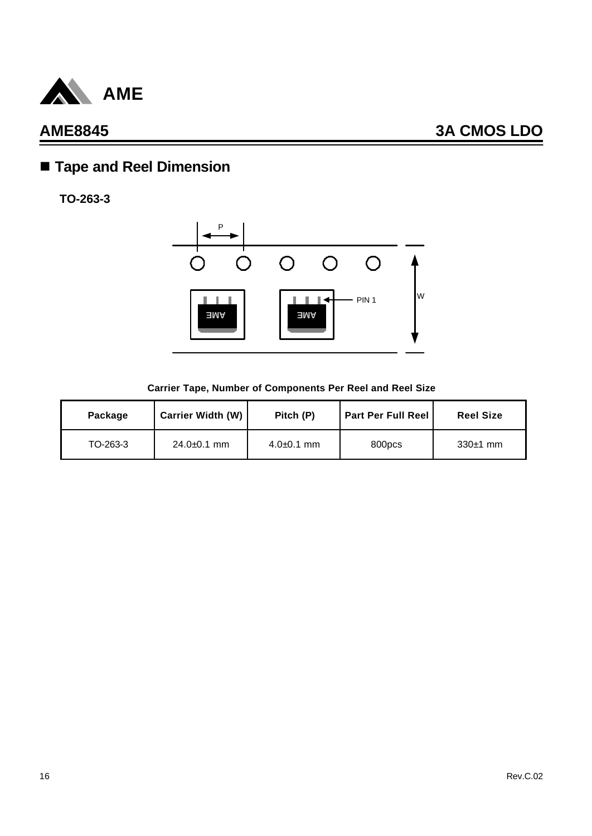

# n **Tape and Reel Dimension**

**TO-263-3**



### **Carrier Tape, Number of Components Per Reel and Reel Size**

| Package  | <b>Carrier Width (W)</b> | Pitch (P)      | <b>Part Per Full Reel</b> | <b>Reel Size</b> |
|----------|--------------------------|----------------|---------------------------|------------------|
| TO-263-3 | $24.0 \pm 0.1$ mm        | $4.0 + 0.1$ mm | 800pcs                    | $330±1$ mm       |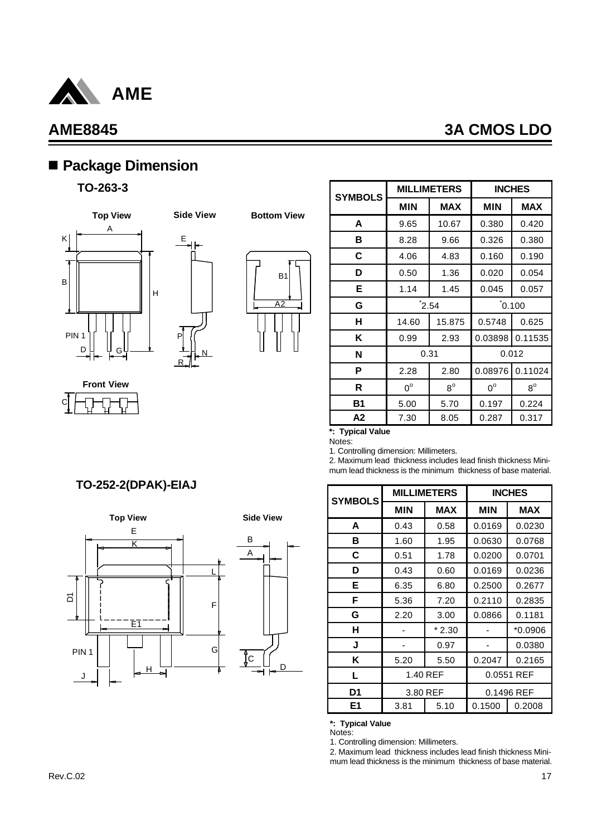

C

## **AME8845 3A CMOS LDO**

## n **Package Dimension**

### **TO-263-3**



**Front View**



R



**Bottom View**

| <b>SYMBOLS</b> |                   | <b>MILLIMETERS</b> | <b>INCHES</b> |             |  |
|----------------|-------------------|--------------------|---------------|-------------|--|
|                | <b>MIN</b>        | <b>MAX</b>         | <b>MIN</b>    | <b>MAX</b>  |  |
| A              | 9.65              | 10.67              | 0.380         | 0.420       |  |
| в              | 8.28              | 9.66               | 0.326         | 0.380       |  |
| С              | 4.06              | 4.83               | 0.160         | 0.190       |  |
| D              | 0.50              | 1.36               | 0.020         | 0.054       |  |
| Е              | 1.14              | 1.45               | 0.045         | 0.057       |  |
| G              | $^{\text{*}}2.54$ |                    | 0.100         |             |  |
| н              | 14.60             | 15.875             | 0.5748        | 0.625       |  |
| Κ              | 0.99              | 2.93               | 0.03898       | 0.11535     |  |
| N              | 0.31              |                    | 0.012         |             |  |
| Ρ              | 2.28              | 2.80               | 0.08976       | 0.11024     |  |
| R              | $0^{\circ}$       | $8^{\circ}$        | $0^{\circ}$   | $8^{\rm o}$ |  |
| B1             | 5.00              | 5.70               | 0.197         | 0.224       |  |
| А2             | 7.30              | 8.05               | 0.287         | 0.317       |  |

### **\*: Typical Value**

Notes:

1. Controlling dimension: Millimeters.

2. Maximum lead thickness includes lead finish thickness Minimum lead thickness is the minimum thickness of base material.

| <b>SYMBOLS</b> |          | <b>MILLIMETERS</b> | <b>INCHES</b>    |            |  |
|----------------|----------|--------------------|------------------|------------|--|
|                | MIN      | <b>MAX</b>         | MIN              | <b>MAX</b> |  |
| A              | 0.43     | 0.58               | 0.0169           | 0.0230     |  |
| в              | 1.60     | 1.95               | 0.0630           | 0.0768     |  |
| C              | 0.51     | 1.78               | 0.0200           | 0.0701     |  |
| D              | 0.43     | 0.60               | 0.0169           | 0.0236     |  |
| Е              | 6.35     | 6.80               | 0.2500           | 0.2677     |  |
| F              | 5.36     | 7.20               | 0.2110           | 0.2835     |  |
| G              | 2.20     | 3.00               | 0.0866           | 0.1181     |  |
| н              |          | $*2.30$            |                  | $*0.0906$  |  |
| J              |          | 0.97               |                  | 0.0380     |  |
| Κ              | 5.20     | 5.50               | 0.2047           | 0.2165     |  |
| L              | 1.40 REF |                    | 0.0551 REF       |            |  |
| D1             | 3.80 REF |                    | 0.1496 REF       |            |  |
| E1             | 3.81     | 5.10               | 0.1500<br>0.2008 |            |  |

### **\*: Typical Value**

Notes:

1. Controlling dimension: Millimeters.

2. Maximum lead thickness includes lead finish thickness Minimum lead thickness is the minimum thickness of base material.

## **TO-252-2(DPAK)-EIAJ**

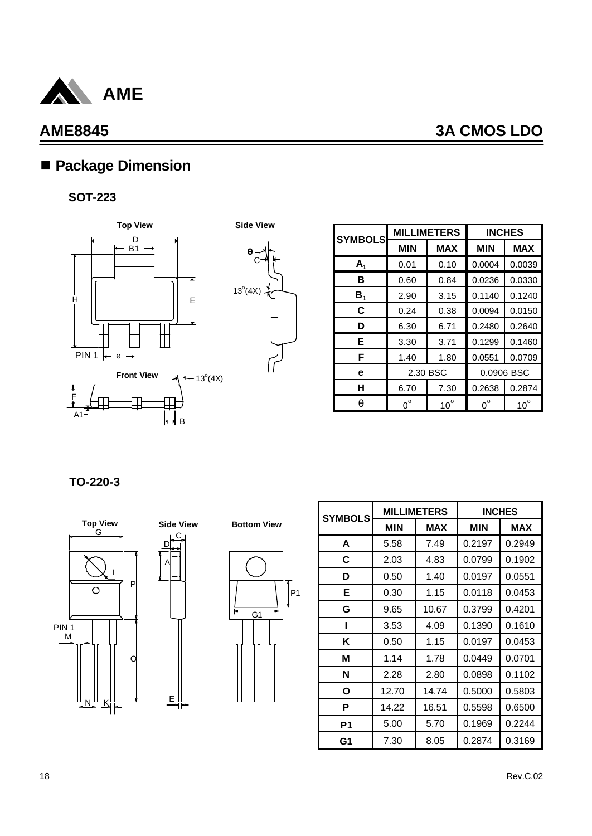

## ■ Package Dimension

### **SOT-223**





| <b>SYMBOLS</b> |             | <b>MILLIMETERS</b> | <b>INCHES</b> |              |  |
|----------------|-------------|--------------------|---------------|--------------|--|
|                | <b>MIN</b>  | <b>MAX</b>         | <b>MIN</b>    | <b>MAX</b>   |  |
| $A_1$          | 0.01        | 0.10               | 0.0004        | 0.0039       |  |
| в              | 0.60        | 0.84               | 0.0236        | 0.0330       |  |
| $B_{1}$        | 2.90        | 3.15               | 0.1140        | 0.1240       |  |
| C              | 0.24        | 0.38               | 0.0094        | 0.0150       |  |
| D              | 6.30        | 6.71               | 0.2480        | 0.2640       |  |
| E.             | 3.30        | 3.71               | 0.1299        | 0.1460       |  |
| F              | 1.40        | 1.80               | 0.0551        | 0.0709       |  |
| е              | 2.30 BSC    |                    | 0.0906 BSC    |              |  |
| н              | 6.70        | 7.30               | 0.2638        | 0.2874       |  |
| q              | $0^{\circ}$ | $10^{\circ}$       | $0^{\circ}$   | $10^{\circ}$ |  |

**TO-220-3**





C

E



| <b>SYMBOLS</b> |                          | <b>MILLIMETERS</b> | <b>INCHES</b> |            |  |
|----------------|--------------------------|--------------------|---------------|------------|--|
|                | <b>MIN</b><br><b>MAX</b> |                    | <b>MIN</b>    | <b>MAX</b> |  |
| A              | 5.58                     | 7.49               | 0.2197        | 0.2949     |  |
| C              | 2.03                     | 4.83               | 0.0799        | 0.1902     |  |
| D              | 0.50                     | 1.40               | 0.0197        | 0.0551     |  |
| Е              | 0.30                     | 1.15               | 0.0118        | 0.0453     |  |
| G              | 9.65                     | 10.67              | 0.3799        | 0.4201     |  |
| ı              | 3.53                     | 4.09               | 0.1390        | 0.1610     |  |
| K              | 0.50                     | 1.15               | 0.0197        | 0.0453     |  |
| М              | 1.14                     | 1.78               | 0.0449        | 0.0701     |  |
| N              | 2.28                     | 2.80               | 0.0898        | 0.1102     |  |
| O              | 12.70                    | 14.74              | 0.5000        | 0.5803     |  |
| P              | 14.22                    | 16.51              | 0.5598        | 0.6500     |  |
| P <sub>1</sub> | 5.00                     | 5.70               | 0.1969        | 0.2244     |  |
| G1             | 7.30                     | 8.05               | 0.2874        | 0.3169     |  |